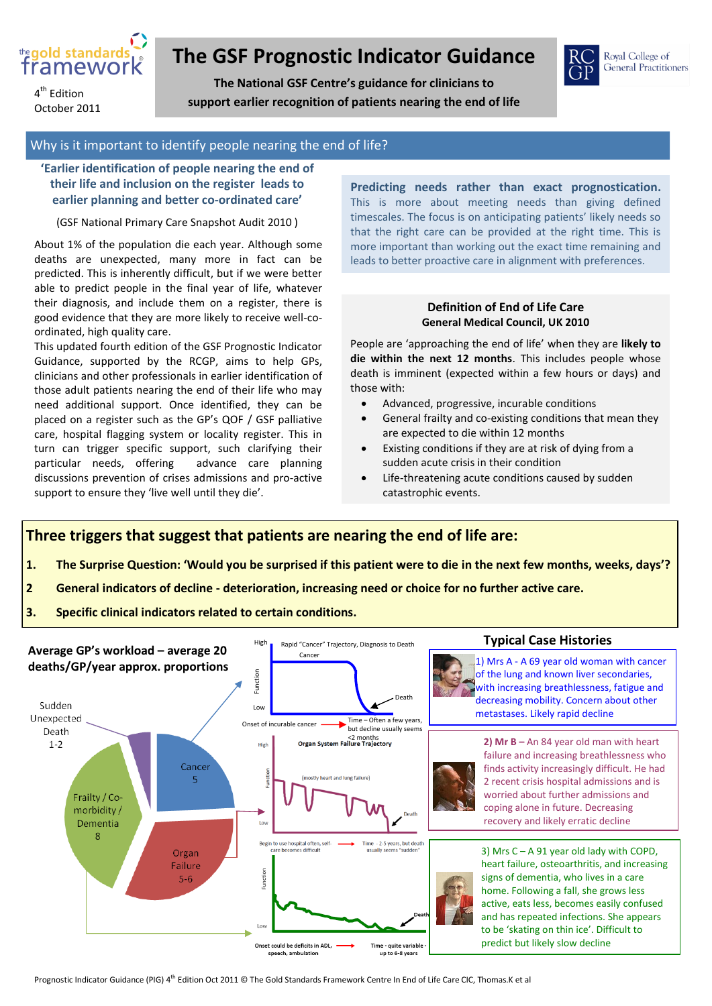

4<sup>th</sup> Edition October 2011

# **The GSF Prognostic Indicator Guidance**

**The National GSF Centre's guidance for clinicians to support earlier recognition of patients nearing the end of life**



#### Why is it important to identify people nearing the end of life?

## **'Earlier identification of people nearing the end of their life and inclusion on the register leads to earlier planning and better co-ordinated care'**

(GSF National Primary Care Snapshot Audit 2010 )

About 1% of the population die each year. Although some deaths are unexpected, many more in fact can be predicted. This is inherently difficult, but if we were better able to predict people in the final year of life, whatever their diagnosis, and include them on a register, there is good evidence that they are more likely to receive well-coordinated, high quality care.

This updated fourth edition of the GSF Prognostic Indicator Guidance, supported by the RCGP, aims to help GPs, clinicians and other professionals in earlier identification of those adult patients nearing the end of their life who may need additional support. Once identified, they can be placed on a register such as the GP's QOF / GSF palliative care, hospital flagging system or locality register. This in turn can trigger specific support, such clarifying their particular needs, offering advance care planning discussions prevention of crises admissions and pro-active support to ensure they 'live well until they die'.

**Predicting needs rather than exact prognostication.**  This is more about meeting needs than giving defined timescales. The focus is on anticipating patients' likely needs so that the right care can be provided at the right time. This is more important than working out the exact time remaining and leads to better proactive care in alignment with preferences.

### **Definition of End of Life Care General Medical Council, UK 2010**

People are 'approaching the end of life' when they are **likely to die within the next 12 months**. This includes people whose death is imminent (expected within a few hours or days) and those with:

- Advanced, progressive, incurable conditions
- General frailty and co-existing conditions that mean they are expected to die within 12 months
- Existing conditions if they are at risk of dying from a sudden acute crisis in their condition
- Life-threatening acute conditions caused by sudden catastrophic events.

**Three triggers that suggest that patients are nearing the end of life are:**

- **1. The Surprise Question: 'Would you be surprised if this patient were to die in the next few months, weeks, days'?**
- **2 General indicators of decline - deterioration, increasing need or choice for no further active care.**
- **3. Specific clinical indicators related to certain conditions.**

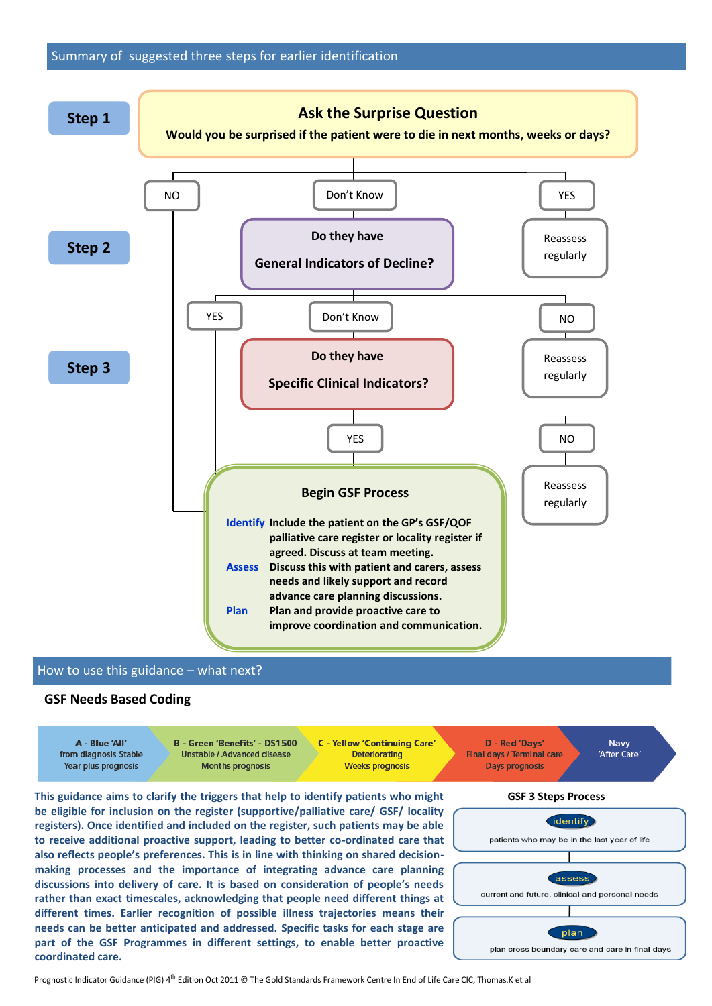

#### How to use this guidance – what next?

#### **GSF Needs Based Coding**

 $\Delta$  - Rive 'All' from diagnosis Stable Year plus prognosis

B - Green 'Benefits' - DS1500 **Unstable / Advanced disease Months prognosis** 

**C** - Yellow 'Continuing Care' Deteriorating **Weeks prognosis** 

D - Red 'Davs' Final days / Terminal care **Days prognosis** 

**Navv** 'After Care'

**This guidance aims to clarify the triggers that help to identify patients who might be eligible for inclusion on the register (supportive/palliative care/ GSF/ locality registers). Once identified and included on the register, such patients may be able to receive additional proactive support, leading to better co-ordinated care that also reflects people's preferences. This is in line with thinking on shared decisionmaking processes and the importance of integrating advance care planning discussions into delivery of care. It is based on consideration of people's needs rather than exact timescales, acknowledging that people need different things at different times. Earlier recognition of possible illness trajectories means their needs can be better anticipated and addressed. Specific tasks for each stage are part of the GSF Programmes in different settings, to enable better proactive coordinated care.**

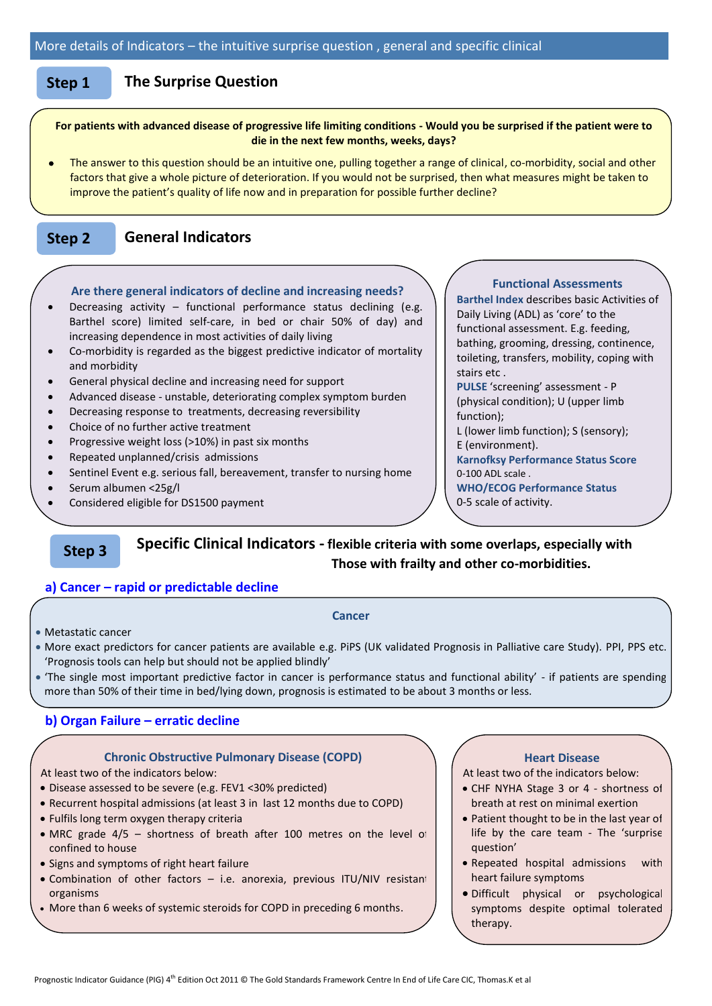#### **Step 1 The Surprise Question**

#### **For patients with advanced disease of progressive life limiting conditions - Would you be surprised if the patient were to die in the next few months, weeks, days?**

 The answer to this question should be an intuitive one, pulling together a range of clinical, co-morbidity, social and other factors that give a whole picture of deterioration. If you would not be surprised, then what measures might be taken to improve the patient's quality of life now and in preparation for possible further decline?

#### **Step 2 General Indicators**

#### **Are there general indicators of decline and increasing needs?**

- Decreasing activity functional performance status declining (e.g. Barthel score) limited self-care, in bed or chair 50% of day) and increasing dependence in most activities of daily living
- Co-morbidity is regarded as the biggest predictive indicator of mortality and morbidity
- General physical decline and increasing need for support
- Advanced disease unstable, deteriorating complex symptom burden
- Decreasing response to treatments, decreasing reversibility
- Choice of no further active treatment
- Progressive weight loss  $(>10%)$  in past six months
- Repeated unplanned/crisis admissions
- Sentinel Event e.g. serious fall, bereavement, transfer to nursing home
- Serum albumen <25g/l
- Considered eligible for DS1500 payment

#### **Functional Assessments**

**Barthel Index** describes basic Activities of Daily Living (ADL) as 'core' to the functional assessment. E.g. feeding, bathing, grooming, dressing, continence, toileting, transfers, mobility, coping with stairs etc .

**PULSE** 'screening' assessment - P (physical condition); U (upper limb function);

L (lower limb function); S (sensory); E (environment).

**Karnofksy Performance Status Score**

0-100 ADL scale . **WHO/ECOG Performance Status** 

0-5 scale of activity.

#### **Specific Clinical Indicators - flexible criteria with some overlaps, especially with Those with frailty and other co-morbidities. Step 3**

#### **a) Cancer – rapid or predictable decline**

#### **Cancer**

Metastatic cancer

 $\overline{a}$ 

- More exact predictors for cancer patients are available e.g. PiPS (UK validated Prognosis in Palliative care Study). PPI, PPS etc. 'Prognosis tools can help but should not be applied blindly'
- 'The single most important predictive factor in cancer is performance status and functional ability' if patients are spending more than 50% of their time in bed/lying down, prognosis is estimated to be about 3 months or less.

#### **b) Organ Failure – erratic decline**

#### **Chronic Obstructive Pulmonary Disease (COPD)**

At least two of the indicators below:

- Disease assessed to be severe (e.g. FEV1 <30% predicted)
- Recurrent hospital admissions (at least 3 in last 12 months due to COPD)
- Fulfils long term oxygen therapy criteria
- MRC grade 4/5 shortness of breath after 100 metres on the level of confined to house
- Signs and symptoms of right heart failure
- Combination of other factors i.e. anorexia, previous ITU/NIV resistant organisms
- More than 6 weeks of systemic steroids for COPD in preceding 6 months.

#### **Heart Disease**

At least two of the indicators below:

- CHF NYHA Stage 3 or 4 shortness of breath at rest on minimal exertion
- Patient thought to be in the last year of life by the care team - The 'surprise question'
- Repeated hospital admissions with heart failure symptoms
- Difficult physical or psychological symptoms despite optimal tolerated therapy.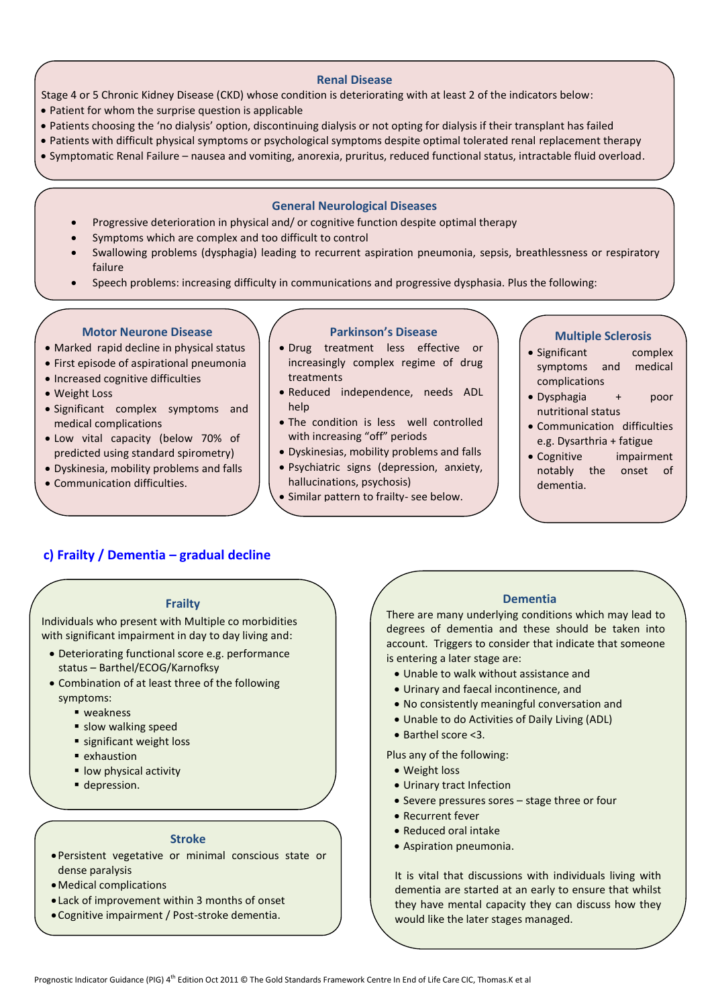#### **Renal Disease**

Stage 4 or 5 Chronic Kidney Disease (CKD) whose condition is deteriorating with at least 2 of the indicators below:

- Patient for whom the surprise question is applicable
- Patients choosing the 'no dialysis' option, discontinuing dialysis or not opting for dialysis if their transplant has failed
- Patients with difficult physical symptoms or psychological symptoms despite optimal tolerated renal replacement therapy
- Symptomatic Renal Failure nausea and vomiting, anorexia, pruritus, reduced functional status, intractable fluid overload.

#### **General Neurological Diseases**

- Progressive deterioration in physical and/ or cognitive function despite optimal therapy
- Symptoms which are complex and too difficult to control
- Swallowing problems (dysphagia) leading to recurrent aspiration pneumonia, sepsis, breathlessness or respiratory failure
- Speech problems: increasing difficulty in communications and progressive dysphasia. Plus the following:

#### **Motor Neurone Disease**

- Marked rapid decline in physical status
- First episode of aspirational pneumonia
- Increased cognitive difficulties
- Weight Loss
- Significant complex symptoms and medical complications
- Low vital capacity (below 70% of predicted using standard spirometry)
- Dyskinesia, mobility problems and falls
- Communication difficulties.

#### **Parkinson's Disease**

- Drug treatment less effective or increasingly complex regime of drug treatments
- Reduced independence, needs ADL help
- The condition is less well controlled with increasing "off" periods
- Dyskinesias, mobility problems and falls
- Psychiatric signs (depression, anxiety, hallucinations, psychosis)
- Similar pattern to frailty- see below.

#### **Multiple Sclerosis**

- Significant complex symptoms and medical complications
- Dysphagia + poor nutritional status
- Communication difficulties e.g. Dysarthria + fatigue
- Cognitive impairment notably the onset of dementia.

## **c) Frailty / Dementia – gradual decline**

### **Frailty**

Individuals who present with Multiple co morbidities with significant impairment in day to day living and:

- Deteriorating functional score e.g. performance status – Barthel/ECOG/Karnofksy
- Combination of at least three of the following symptoms:
	- weakness
	- **slow walking speed**
	- significant weight loss
	- **exhaustion**
	- **· low physical activity**
	- depression.

#### **Stroke**

- Persistent vegetative or minimal conscious state or dense paralysis
- Medical complications
- Lack of improvement within 3 months of onset
- Cognitive impairment / Post-stroke dementia.

### **Dementia**

There are many underlying conditions which may lead to degrees of dementia and these should be taken into account. Triggers to consider that indicate that someone is entering a later stage are:

- Unable to walk without assistance and
- Urinary and faecal incontinence, and
- No consistently meaningful conversation and
- Unable to do Activities of Daily Living (ADL)
- Barthel score <3.
- Plus any of the following:
	- Weight loss
	- Urinary tract Infection
	- Severe pressures sores stage three or four
	- Recurrent fever
	- Reduced oral intake
	- Aspiration pneumonia.

It is vital that discussions with individuals living with dementia are started at an early to ensure that whilst they have mental capacity they can discuss how they would like the later stages managed.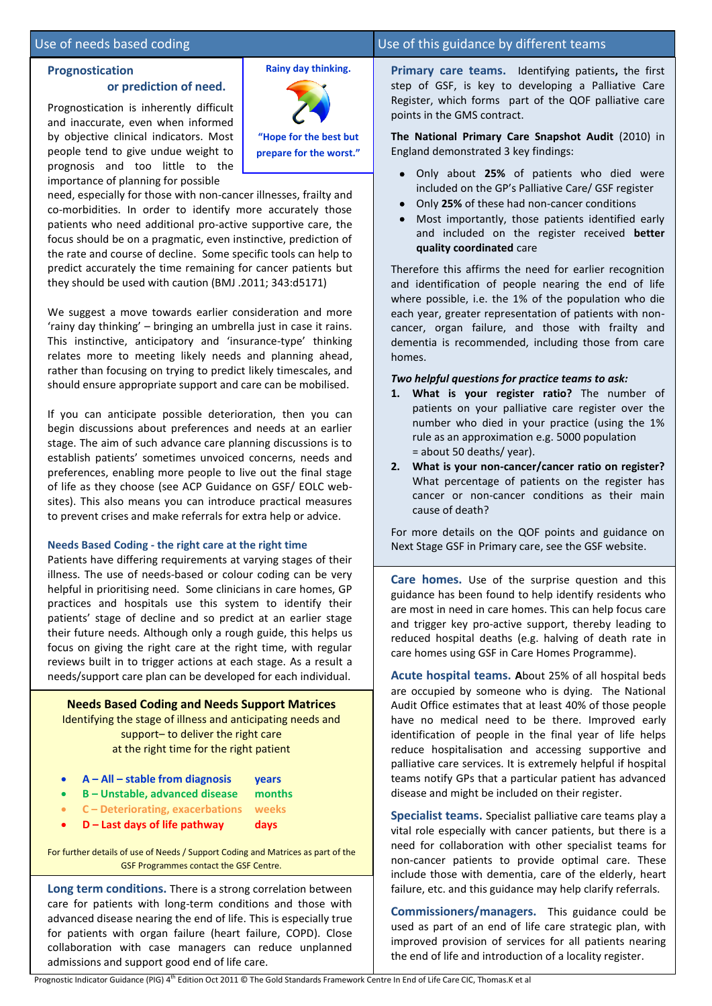#### Use of needs based coding Use of this guidance by different teams

#### **Prognostication**

#### **or prediction of need.**

Prognostication is inherently difficult and inaccurate, even when informed by objective clinical indicators. Most people tend to give undue weight to prognosis and too little to the importance of planning for possible



**Rainy day thinking.**

need, especially for those with non-cancer illnesses, frailty and co-morbidities. In order to identify more accurately those patients who need additional pro-active supportive care, the focus should be on a pragmatic, even instinctive, prediction of the rate and course of decline. Some specific tools can help to predict accurately the time remaining for cancer patients but they should be used with caution (BMJ .2011; 343:d5171)

We suggest a move towards earlier consideration and more 'rainy day thinking' – bringing an umbrella just in case it rains. This instinctive, anticipatory and 'insurance-type' thinking relates more to meeting likely needs and planning ahead, rather than focusing on trying to predict likely timescales, and should ensure appropriate support and care can be mobilised.

If you can anticipate possible deterioration, then you can begin discussions about preferences and needs at an earlier stage. The aim of such advance care planning discussions is to establish patients' sometimes unvoiced concerns, needs and preferences, enabling more people to live out the final stage of life as they choose (see ACP Guidance on GSF/ EOLC websites). This also means you can introduce practical measures to prevent crises and make referrals for extra help or advice.

#### **Needs Based Coding - the right care at the right time**

Patients have differing requirements at varying stages of their illness. The use of needs-based or colour coding can be very helpful in prioritising need. Some clinicians in care homes, GP practices and hospitals use this system to identify their patients' stage of decline and so predict at an earlier stage their future needs. Although only a rough guide, this helps us focus on giving the right care at the right time, with regular reviews built in to trigger actions at each stage. As a result a needs/support care plan can be developed for each individual.

**Needs Based Coding and Needs Support Matrices**  Identifying the stage of illness and anticipating needs and support– to deliver the right care at the right time for the right patient

- **A – All – stable from diagnosis years**
- **B – Unstable, advanced disease months**
- **C – Deteriorating, exacerbations weeks**
- **D – Last days of life pathway days**

For further details of use of Needs / Support Coding and Matrices as part of the GSF Programmes contact the GSF Centre.

**Long term conditions.** There is a strong correlation between care for patients with long-term conditions and those with advanced disease nearing the end of life. This is especially true for patients with organ failure (heart failure, COPD). Close collaboration with case managers can reduce unplanned admissions and support good end of life care.

**Primary care teams.** Identifying patients**,** the first step of GSF, is key to developing a Palliative Care Register, which forms part of the QOF palliative care points in the GMS contract.

**The National Primary Care Snapshot Audit** (2010) in England demonstrated 3 key findings:

- Only about **25%** of patients who died were included on the GP's Palliative Care/ GSF register
- Only **25%** of these had non-cancer conditions
- Most importantly, those patients identified early and included on the register received **better quality coordinated** care

Therefore this affirms the need for earlier recognition and identification of people nearing the end of life where possible, i.e. the 1% of the population who die each year, greater representation of patients with noncancer, organ failure, and those with frailty and dementia is recommended, including those from care homes.

#### *Two helpful questions for practice teams to ask:*

- **1. What is your register ratio?** The number of patients on your palliative care register over the number who died in your practice (using the 1% rule as an approximation e.g. 5000 population = about 50 deaths/ year).
- **2. What is your non-cancer/cancer ratio on register?**  What percentage of patients on the register has cancer or non-cancer conditions as their main cause of death?

For more details on the QOF points and guidance on Next Stage GSF in Primary care, see the GSF website.

**Care homes.** Use of the surprise question and this guidance has been found to help identify residents who are most in need in care homes. This can help focus care and trigger key pro-active support, thereby leading to reduced hospital deaths (e.g. halving of death rate in care homes using GSF in Care Homes Programme).

**Acute hospital teams. A**bout 25% of all hospital beds are occupied by someone who is dying. The National Audit Office estimates that at least 40% of those people have no medical need to be there. Improved early identification of people in the final year of life helps reduce hospitalisation and accessing supportive and palliative care services. It is extremely helpful if hospital teams notify GPs that a particular patient has advanced disease and might be included on their register.

**Specialist teams.** Specialist palliative care teams play a vital role especially with cancer patients, but there is a need for collaboration with other specialist teams for non-cancer patients to provide optimal care. These include those with dementia, care of the elderly, heart failure, etc. and this guidance may help clarify referrals.

**Commissioners/managers.** This guidance could be used as part of an end of life care strategic plan, with improved provision of services for all patients nearing the end of life and introduction of a locality register.

Prognostic Indicator Guidance (PIG) 4<sup>th</sup> Edition Oct 2011 © The Gold Standards Framework Centre In End of Life Care CIC, Thomas.K et al